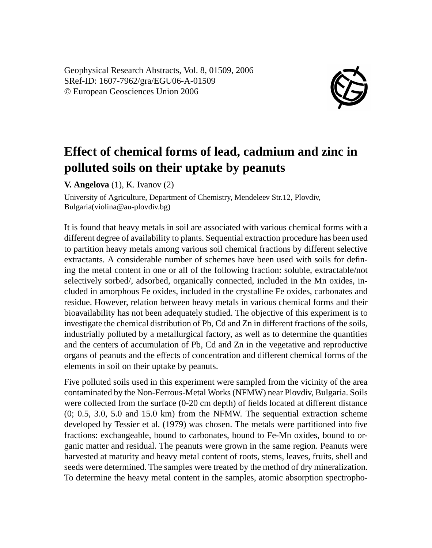Geophysical Research Abstracts, Vol. 8, 01509, 2006 SRef-ID: 1607-7962/gra/EGU06-A-01509 © European Geosciences Union 2006



## **Effect of chemical forms of lead, cadmium and zinc in polluted soils on their uptake by peanuts**

**V. Angelova** (1), K. Ivanov (2)

University of Agriculture, Department of Chemistry, Mendeleev Str.12, Plovdiv, Bulgaria(violina@au-plovdiv.bg)

It is found that heavy metals in soil are associated with various chemical forms with a different degree of availability to plants. Sequential extraction procedure has been used to partition heavy metals among various soil chemical fractions by different selective extractants. A considerable number of schemes have been used with soils for defining the metal content in one or all of the following fraction: soluble, extractable/not selectively sorbed/, adsorbed, organically connected, included in the Mn oxides, included in amorphous Fe oxides, included in the crystalline Fe oxides, carbonates and residue. However, relation between heavy metals in various chemical forms and their bioavailability has not been adequately studied. The objective of this experiment is to investigate the chemical distribution of Pb, Cd and Zn in different fractions of the soils, industrially polluted by a metallurgical factory, as well as to determine the quantities and the centers of accumulation of Pb, Cd and Zn in the vegetative and reproductive organs of peanuts and the effects of concentration and different chemical forms of the elements in soil on their uptake by peanuts.

Five polluted soils used in this experiment were sampled from the vicinity of the area contaminated by the Non-Ferrous-Metal Works (NFMW) near Plovdiv, Bulgaria. Soils were collected from the surface (0-20 cm depth) of fields located at different distance (0; 0.5, 3.0, 5.0 and 15.0 km) from the NFMW. The sequential extraction scheme developed by Tessier et al. (1979) was chosen. The metals were partitioned into five fractions: exchangeable, bound to carbonates, bound to Fe-Mn oxides, bound to organic matter and residual. The peanuts were grown in the same region. Peanuts were harvested at maturity and heavy metal content of roots, stems, leaves, fruits, shell and seeds were determined. The samples were treated by the method of dry mineralization. To determine the heavy metal content in the samples, atomic absorption spectropho